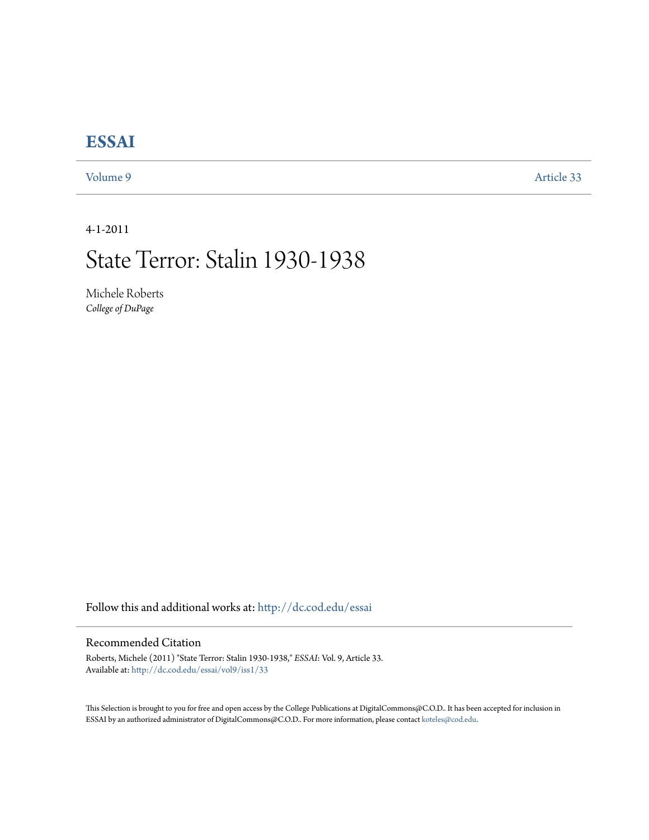## **[ESSAI](http://dc.cod.edu/essai?utm_source=dc.cod.edu%2Fessai%2Fvol9%2Fiss1%2F33&utm_medium=PDF&utm_campaign=PDFCoverPages)**

[Volume 9](http://dc.cod.edu/essai/vol9?utm_source=dc.cod.edu%2Fessai%2Fvol9%2Fiss1%2F33&utm_medium=PDF&utm_campaign=PDFCoverPages) [Article 33](http://dc.cod.edu/essai/vol9/iss1/33?utm_source=dc.cod.edu%2Fessai%2Fvol9%2Fiss1%2F33&utm_medium=PDF&utm_campaign=PDFCoverPages)

4-1-2011

# State Terror: Stalin 1930-1938

Michele Roberts *College of DuPage*

Follow this and additional works at: [http://dc.cod.edu/essai](http://dc.cod.edu/essai?utm_source=dc.cod.edu%2Fessai%2Fvol9%2Fiss1%2F33&utm_medium=PDF&utm_campaign=PDFCoverPages)

### Recommended Citation

Roberts, Michele (2011) "State Terror: Stalin 1930-1938," *ESSAI*: Vol. 9, Article 33. Available at: [http://dc.cod.edu/essai/vol9/iss1/33](http://dc.cod.edu/essai/vol9/iss1/33?utm_source=dc.cod.edu%2Fessai%2Fvol9%2Fiss1%2F33&utm_medium=PDF&utm_campaign=PDFCoverPages)

This Selection is brought to you for free and open access by the College Publications at DigitalCommons@C.O.D.. It has been accepted for inclusion in ESSAI by an authorized administrator of DigitalCommons@C.O.D.. For more information, please contact [koteles@cod.edu](mailto:koteles@cod.edu).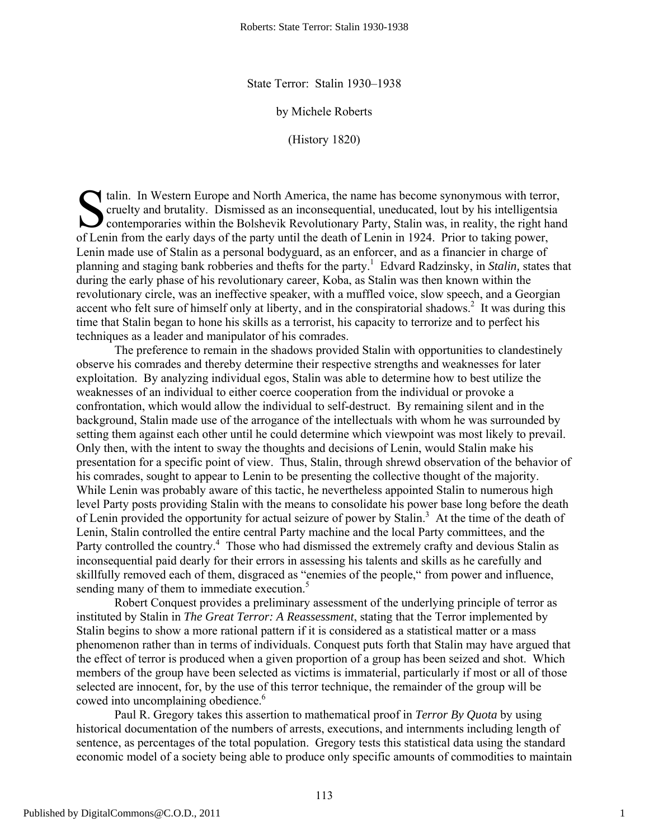State Terror: Stalin 1930–1938

by Michele Roberts

(History 1820)

talin. In Western Europe and North America, the name has become synonymous with terror,<br>
cruelty and brutality. Dismissed as an inconsequential, uneducated, lout by his intelligentsia<br>
contemporaries within the Bolshevik R cruelty and brutality. Dismissed as an inconsequential, uneducated, lout by his intelligentsia contemporaries within the Bolshevik Revolutionary Party, Stalin was, in reality, the right hand of Lenin from the early days of the party until the death of Lenin in 1924. Prior to taking power, Lenin made use of Stalin as a personal bodyguard, as an enforcer, and as a financier in charge of planning and staging bank robberies and thefts for the party.1 Edvard Radzinsky, in *Stalin,* states that during the early phase of his revolutionary career, Koba, as Stalin was then known within the revolutionary circle, was an ineffective speaker, with a muffled voice, slow speech, and a Georgian accent who felt sure of himself only at liberty, and in the conspiratorial shadows.<sup>2</sup> It was during this time that Stalin began to hone his skills as a terrorist, his capacity to terrorize and to perfect his techniques as a leader and manipulator of his comrades.

 The preference to remain in the shadows provided Stalin with opportunities to clandestinely observe his comrades and thereby determine their respective strengths and weaknesses for later exploitation. By analyzing individual egos, Stalin was able to determine how to best utilize the weaknesses of an individual to either coerce cooperation from the individual or provoke a confrontation, which would allow the individual to self-destruct. By remaining silent and in the background, Stalin made use of the arrogance of the intellectuals with whom he was surrounded by setting them against each other until he could determine which viewpoint was most likely to prevail. Only then, with the intent to sway the thoughts and decisions of Lenin, would Stalin make his presentation for a specific point of view. Thus, Stalin, through shrewd observation of the behavior of his comrades, sought to appear to Lenin to be presenting the collective thought of the majority. While Lenin was probably aware of this tactic, he nevertheless appointed Stalin to numerous high level Party posts providing Stalin with the means to consolidate his power base long before the death of Lenin provided the opportunity for actual seizure of power by Stalin.<sup>3</sup> At the time of the death of Lenin, Stalin controlled the entire central Party machine and the local Party committees, and the Party controlled the country.<sup>4</sup> Those who had dismissed the extremely crafty and devious Stalin as inconsequential paid dearly for their errors in assessing his talents and skills as he carefully and skillfully removed each of them, disgraced as "enemies of the people," from power and influence, sending many of them to immediate execution.<sup>5</sup>

 Robert Conquest provides a preliminary assessment of the underlying principle of terror as instituted by Stalin in *The Great Terror: A Reassessment*, stating that the Terror implemented by Stalin begins to show a more rational pattern if it is considered as a statistical matter or a mass phenomenon rather than in terms of individuals. Conquest puts forth that Stalin may have argued that the effect of terror is produced when a given proportion of a group has been seized and shot. Which members of the group have been selected as victims is immaterial, particularly if most or all of those selected are innocent, for, by the use of this terror technique, the remainder of the group will be cowed into uncomplaining obedience.<sup>6</sup>

 Paul R. Gregory takes this assertion to mathematical proof in *Terror By Quota* by using historical documentation of the numbers of arrests, executions, and internments including length of sentence, as percentages of the total population. Gregory tests this statistical data using the standard economic model of a society being able to produce only specific amounts of commodities to maintain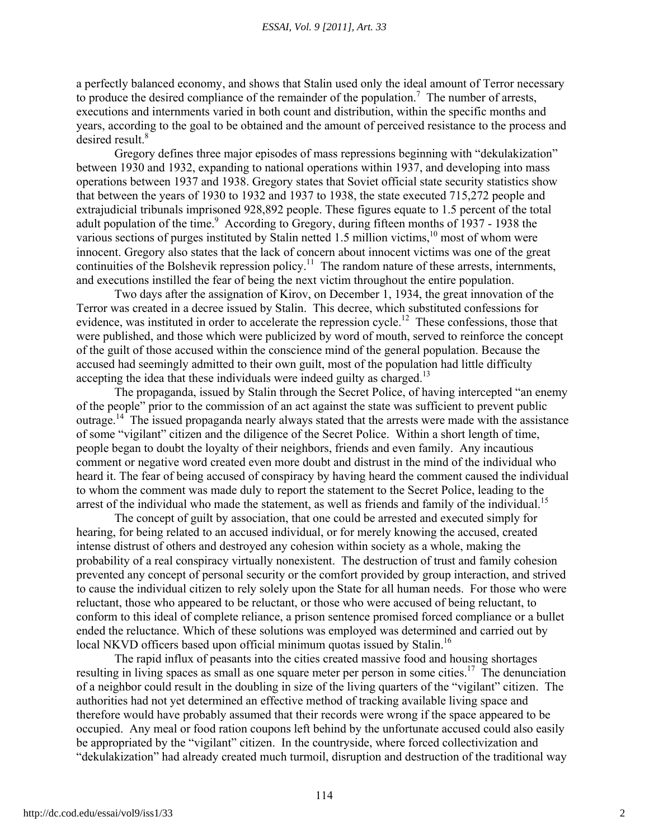a perfectly balanced economy, and shows that Stalin used only the ideal amount of Terror necessary to produce the desired compliance of the remainder of the population.<sup>7</sup> The number of arrests, executions and internments varied in both count and distribution, within the specific months and years, according to the goal to be obtained and the amount of perceived resistance to the process and desired result.<sup>8</sup>

 Gregory defines three major episodes of mass repressions beginning with "dekulakization" between 1930 and 1932, expanding to national operations within 1937, and developing into mass operations between 1937 and 1938. Gregory states that Soviet official state security statistics show that between the years of 1930 to 1932 and 1937 to 1938, the state executed 715,272 people and extrajudicial tribunals imprisoned 928,892 people. These figures equate to 1.5 percent of the total adult population of the time.<sup>9</sup> According to Gregory, during fifteen months of 1937 - 1938 the various sections of purges instituted by Stalin netted 1.5 million victims, $10$  most of whom were innocent. Gregory also states that the lack of concern about innocent victims was one of the great continuities of the Bolshevik repression policy.<sup>11</sup> The random nature of these arrests, internments, and executions instilled the fear of being the next victim throughout the entire population.

 Two days after the assignation of Kirov, on December 1, 1934, the great innovation of the Terror was created in a decree issued by Stalin. This decree, which substituted confessions for evidence, was instituted in order to accelerate the repression cycle.<sup>12</sup> These confessions, those that were published, and those which were publicized by word of mouth, served to reinforce the concept of the guilt of those accused within the conscience mind of the general population. Because the accused had seemingly admitted to their own guilt, most of the population had little difficulty accepting the idea that these individuals were indeed guilty as charged.<sup>13</sup>

 The propaganda, issued by Stalin through the Secret Police, of having intercepted "an enemy of the people" prior to the commission of an act against the state was sufficient to prevent public outrage.<sup>14</sup> The issued propaganda nearly always stated that the arrests were made with the assistance of some "vigilant" citizen and the diligence of the Secret Police. Within a short length of time, people began to doubt the loyalty of their neighbors, friends and even family. Any incautious comment or negative word created even more doubt and distrust in the mind of the individual who heard it. The fear of being accused of conspiracy by having heard the comment caused the individual to whom the comment was made duly to report the statement to the Secret Police, leading to the arrest of the individual who made the statement, as well as friends and family of the individual.<sup>15</sup>

 The concept of guilt by association, that one could be arrested and executed simply for hearing, for being related to an accused individual, or for merely knowing the accused, created intense distrust of others and destroyed any cohesion within society as a whole, making the probability of a real conspiracy virtually nonexistent. The destruction of trust and family cohesion prevented any concept of personal security or the comfort provided by group interaction, and strived to cause the individual citizen to rely solely upon the State for all human needs. For those who were reluctant, those who appeared to be reluctant, or those who were accused of being reluctant, to conform to this ideal of complete reliance, a prison sentence promised forced compliance or a bullet ended the reluctance. Which of these solutions was employed was determined and carried out by local NKVD officers based upon official minimum quotas issued by Stalin.<sup>16</sup>

 The rapid influx of peasants into the cities created massive food and housing shortages resulting in living spaces as small as one square meter per person in some cities.<sup>17</sup> The denunciation of a neighbor could result in the doubling in size of the living quarters of the "vigilant" citizen. The authorities had not yet determined an effective method of tracking available living space and therefore would have probably assumed that their records were wrong if the space appeared to be occupied. Any meal or food ration coupons left behind by the unfortunate accused could also easily be appropriated by the "vigilant" citizen. In the countryside, where forced collectivization and "dekulakization" had already created much turmoil, disruption and destruction of the traditional way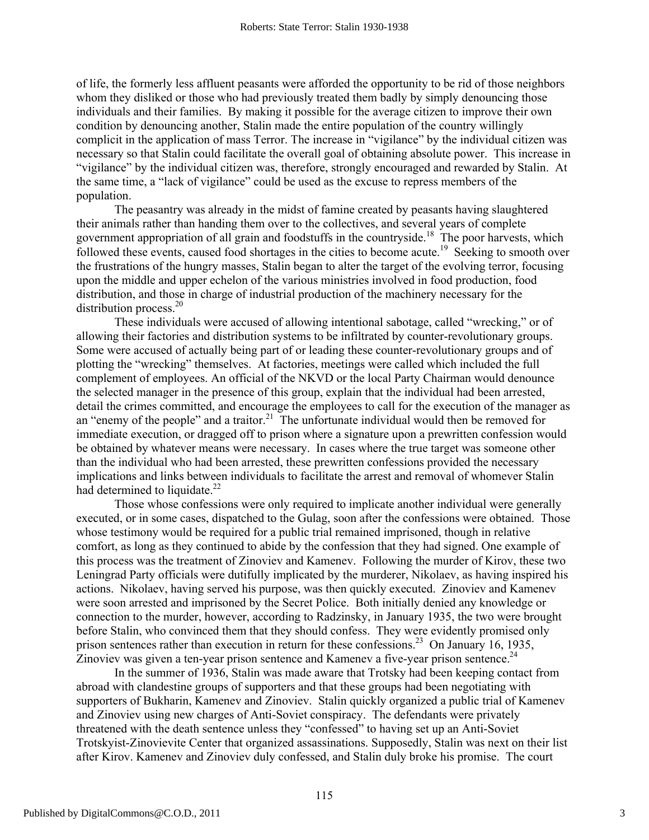of life, the formerly less affluent peasants were afforded the opportunity to be rid of those neighbors whom they disliked or those who had previously treated them badly by simply denouncing those individuals and their families. By making it possible for the average citizen to improve their own condition by denouncing another, Stalin made the entire population of the country willingly complicit in the application of mass Terror. The increase in "vigilance" by the individual citizen was necessary so that Stalin could facilitate the overall goal of obtaining absolute power. This increase in "vigilance" by the individual citizen was, therefore, strongly encouraged and rewarded by Stalin. At the same time, a "lack of vigilance" could be used as the excuse to repress members of the population.

 The peasantry was already in the midst of famine created by peasants having slaughtered their animals rather than handing them over to the collectives, and several years of complete government appropriation of all grain and foodstuffs in the countryside.<sup>18</sup> The poor harvests, which followed these events, caused food shortages in the cities to become acute.<sup>19</sup> Seeking to smooth over the frustrations of the hungry masses, Stalin began to alter the target of the evolving terror, focusing upon the middle and upper echelon of the various ministries involved in food production, food distribution, and those in charge of industrial production of the machinery necessary for the distribution process.<sup>20</sup>

 These individuals were accused of allowing intentional sabotage, called "wrecking," or of allowing their factories and distribution systems to be infiltrated by counter-revolutionary groups. Some were accused of actually being part of or leading these counter-revolutionary groups and of plotting the "wrecking" themselves. At factories, meetings were called which included the full complement of employees. An official of the NKVD or the local Party Chairman would denounce the selected manager in the presence of this group, explain that the individual had been arrested, detail the crimes committed, and encourage the employees to call for the execution of the manager as an "enemy of the people" and a traitor.<sup>21</sup> The unfortunate individual would then be removed for immediate execution, or dragged off to prison where a signature upon a prewritten confession would be obtained by whatever means were necessary. In cases where the true target was someone other than the individual who had been arrested, these prewritten confessions provided the necessary implications and links between individuals to facilitate the arrest and removal of whomever Stalin had determined to liquidate.<sup>22</sup>

 Those whose confessions were only required to implicate another individual were generally executed, or in some cases, dispatched to the Gulag, soon after the confessions were obtained. Those whose testimony would be required for a public trial remained imprisoned, though in relative comfort, as long as they continued to abide by the confession that they had signed. One example of this process was the treatment of Zinoviev and Kamenev. Following the murder of Kirov, these two Leningrad Party officials were dutifully implicated by the murderer, Nikolaev, as having inspired his actions. Nikolaev, having served his purpose, was then quickly executed. Zinoviev and Kamenev were soon arrested and imprisoned by the Secret Police. Both initially denied any knowledge or connection to the murder, however, according to Radzinsky, in January 1935, the two were brought before Stalin, who convinced them that they should confess. They were evidently promised only prison sentences rather than execution in return for these confessions.<sup>23</sup> On January 16, 1935, Zinoviev was given a ten-year prison sentence and Kamenev a five-year prison sentence.<sup>24</sup>

 In the summer of 1936, Stalin was made aware that Trotsky had been keeping contact from abroad with clandestine groups of supporters and that these groups had been negotiating with supporters of Bukharin, Kamenev and Zinoviev. Stalin quickly organized a public trial of Kamenev and Zinoviev using new charges of Anti-Soviet conspiracy. The defendants were privately threatened with the death sentence unless they "confessed" to having set up an Anti-Soviet Trotskyist-Zinovievite Center that organized assassinations. Supposedly, Stalin was next on their list after Kirov. Kamenev and Zinoviev duly confessed, and Stalin duly broke his promise. The court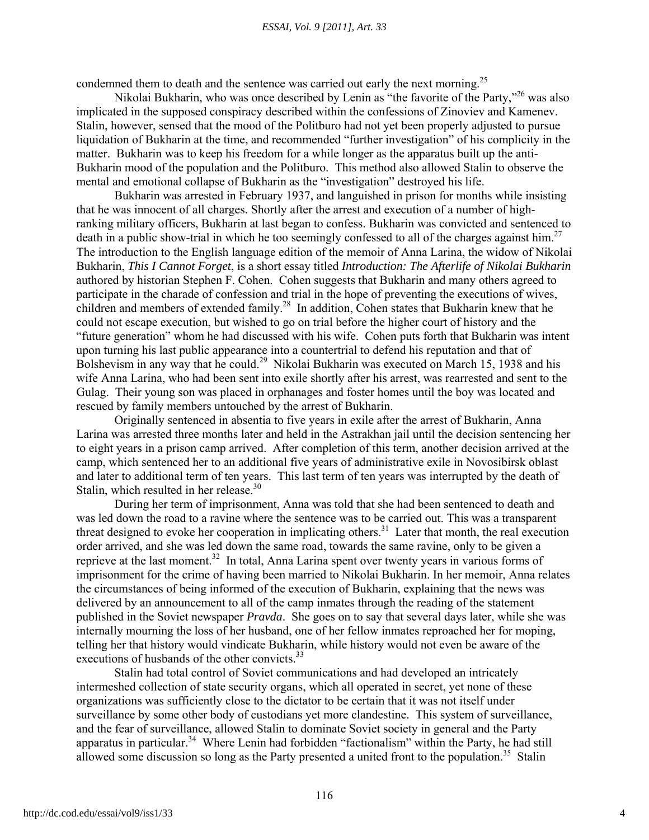#### *ESSAI, Vol. 9 [2011], Art. 33*

condemned them to death and the sentence was carried out early the next morning.<sup>25</sup>

Nikolai Bukharin, who was once described by Lenin as "the favorite of the Party,"<sup>26</sup> was also implicated in the supposed conspiracy described within the confessions of Zinoviev and Kamenev. Stalin, however, sensed that the mood of the Politburo had not yet been properly adjusted to pursue liquidation of Bukharin at the time, and recommended "further investigation" of his complicity in the matter. Bukharin was to keep his freedom for a while longer as the apparatus built up the anti-Bukharin mood of the population and the Politburo. This method also allowed Stalin to observe the mental and emotional collapse of Bukharin as the "investigation" destroyed his life.

 Bukharin was arrested in February 1937, and languished in prison for months while insisting that he was innocent of all charges. Shortly after the arrest and execution of a number of highranking military officers, Bukharin at last began to confess. Bukharin was convicted and sentenced to death in a public show-trial in which he too seemingly confessed to all of the charges against him.<sup>27</sup> The introduction to the English language edition of the memoir of Anna Larina, the widow of Nikolai Bukharin, *This I Cannot Forget*, is a short essay titled *Introduction: The Afterlife of Nikolai Bukharin* authored by historian Stephen F. Cohen. Cohen suggests that Bukharin and many others agreed to participate in the charade of confession and trial in the hope of preventing the executions of wives, children and members of extended family.<sup>28</sup> In addition, Cohen states that Bukharin knew that he could not escape execution, but wished to go on trial before the higher court of history and the "future generation" whom he had discussed with his wife. Cohen puts forth that Bukharin was intent upon turning his last public appearance into a countertrial to defend his reputation and that of Bolshevism in any way that he could.<sup>29</sup> Nikolai Bukharin was executed on March 15, 1938 and his wife Anna Larina, who had been sent into exile shortly after his arrest, was rearrested and sent to the Gulag. Their young son was placed in orphanages and foster homes until the boy was located and rescued by family members untouched by the arrest of Bukharin.

 Originally sentenced in absentia to five years in exile after the arrest of Bukharin, Anna Larina was arrested three months later and held in the Astrakhan jail until the decision sentencing her to eight years in a prison camp arrived. After completion of this term, another decision arrived at the camp, which sentenced her to an additional five years of administrative exile in Novosibirsk oblast and later to additional term of ten years. This last term of ten years was interrupted by the death of Stalin, which resulted in her release.<sup>30</sup>

 During her term of imprisonment, Anna was told that she had been sentenced to death and was led down the road to a ravine where the sentence was to be carried out. This was a transparent threat designed to evoke her cooperation in implicating others.31 Later that month, the real execution order arrived, and she was led down the same road, towards the same ravine, only to be given a reprieve at the last moment.<sup>32</sup> In total, Anna Larina spent over twenty years in various forms of imprisonment for the crime of having been married to Nikolai Bukharin. In her memoir, Anna relates the circumstances of being informed of the execution of Bukharin, explaining that the news was delivered by an announcement to all of the camp inmates through the reading of the statement published in the Soviet newspaper *Pravda*. She goes on to say that several days later, while she was internally mourning the loss of her husband, one of her fellow inmates reproached her for moping, telling her that history would vindicate Bukharin, while history would not even be aware of the executions of husbands of the other convicts.<sup>33</sup>

 Stalin had total control of Soviet communications and had developed an intricately intermeshed collection of state security organs, which all operated in secret, yet none of these organizations was sufficiently close to the dictator to be certain that it was not itself under surveillance by some other body of custodians yet more clandestine. This system of surveillance, and the fear of surveillance, allowed Stalin to dominate Soviet society in general and the Party apparatus in particular.<sup>34</sup> Where Lenin had forbidden "factionalism" within the Party, he had still allowed some discussion so long as the Party presented a united front to the population.<sup>35</sup> Stalin

4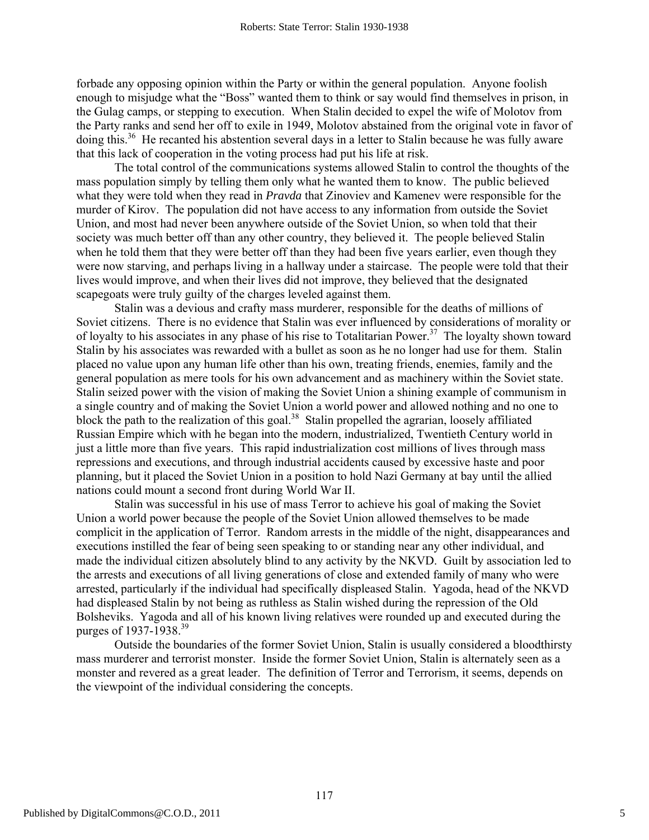forbade any opposing opinion within the Party or within the general population. Anyone foolish enough to misjudge what the "Boss" wanted them to think or say would find themselves in prison, in the Gulag camps, or stepping to execution. When Stalin decided to expel the wife of Molotov from the Party ranks and send her off to exile in 1949, Molotov abstained from the original vote in favor of doing this.<sup>36</sup> He recanted his abstention several days in a letter to Stalin because he was fully aware that this lack of cooperation in the voting process had put his life at risk.

 The total control of the communications systems allowed Stalin to control the thoughts of the mass population simply by telling them only what he wanted them to know. The public believed what they were told when they read in *Pravda* that Zinoviev and Kamenev were responsible for the murder of Kirov. The population did not have access to any information from outside the Soviet Union, and most had never been anywhere outside of the Soviet Union, so when told that their society was much better off than any other country, they believed it. The people believed Stalin when he told them that they were better off than they had been five years earlier, even though they were now starving, and perhaps living in a hallway under a staircase. The people were told that their lives would improve, and when their lives did not improve, they believed that the designated scapegoats were truly guilty of the charges leveled against them.

 Stalin was a devious and crafty mass murderer, responsible for the deaths of millions of Soviet citizens. There is no evidence that Stalin was ever influenced by considerations of morality or of loyalty to his associates in any phase of his rise to Totalitarian Power.<sup>37</sup> The loyalty shown toward Stalin by his associates was rewarded with a bullet as soon as he no longer had use for them. Stalin placed no value upon any human life other than his own, treating friends, enemies, family and the general population as mere tools for his own advancement and as machinery within the Soviet state. Stalin seized power with the vision of making the Soviet Union a shining example of communism in a single country and of making the Soviet Union a world power and allowed nothing and no one to block the path to the realization of this goal.<sup>38</sup> Stalin propelled the agrarian, loosely affiliated Russian Empire which with he began into the modern, industrialized, Twentieth Century world in just a little more than five years. This rapid industrialization cost millions of lives through mass repressions and executions, and through industrial accidents caused by excessive haste and poor planning, but it placed the Soviet Union in a position to hold Nazi Germany at bay until the allied nations could mount a second front during World War II.

 Stalin was successful in his use of mass Terror to achieve his goal of making the Soviet Union a world power because the people of the Soviet Union allowed themselves to be made complicit in the application of Terror. Random arrests in the middle of the night, disappearances and executions instilled the fear of being seen speaking to or standing near any other individual, and made the individual citizen absolutely blind to any activity by the NKVD. Guilt by association led to the arrests and executions of all living generations of close and extended family of many who were arrested, particularly if the individual had specifically displeased Stalin. Yagoda, head of the NKVD had displeased Stalin by not being as ruthless as Stalin wished during the repression of the Old Bolsheviks. Yagoda and all of his known living relatives were rounded up and executed during the purges of 1937-1938.<sup>39</sup>

 Outside the boundaries of the former Soviet Union, Stalin is usually considered a bloodthirsty mass murderer and terrorist monster. Inside the former Soviet Union, Stalin is alternately seen as a monster and revered as a great leader. The definition of Terror and Terrorism, it seems, depends on the viewpoint of the individual considering the concepts.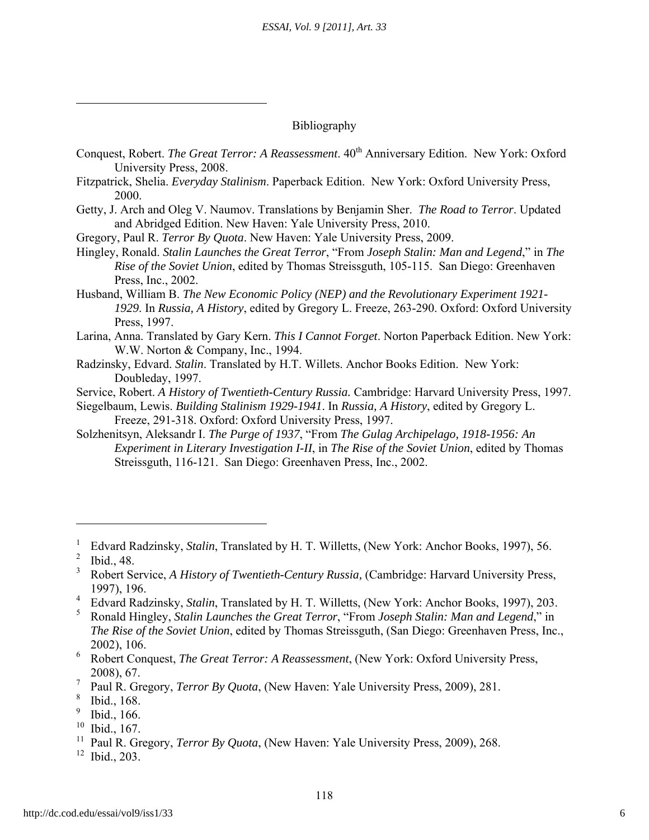#### Bibliography

- Conquest, Robert. *The Great Terror: A Reassessment*.  $40^{th}$  Anniversary Edition. New York: Oxford University Press, 2008.
- Fitzpatrick, Shelia. *Everyday Stalinism*. Paperback Edition. New York: Oxford University Press, 2000.
- Getty, J. Arch and Oleg V. Naumov. Translations by Benjamin Sher. *The Road to Terror*. Updated and Abridged Edition. New Haven: Yale University Press, 2010.

Gregory, Paul R. *Terror By Quota*. New Haven: Yale University Press, 2009.

Hingley, Ronald. *Stalin Launches the Great Terror*, "From *Joseph Stalin: Man and Legend*," in *The Rise of the Soviet Union*, edited by Thomas Streissguth, 105-115. San Diego: Greenhaven Press, Inc., 2002.

Husband, William B. *The New Economic Policy (NEP) and the Revolutionary Experiment 1921- 1929*. In *Russia, A History*, edited by Gregory L. Freeze, 263-290. Oxford: Oxford University Press, 1997.

Larina, Anna. Translated by Gary Kern. *This I Cannot Forget*. Norton Paperback Edition. New York: W.W. Norton & Company, Inc., 1994.

Radzinsky, Edvard. *Stalin*. Translated by H.T. Willets. Anchor Books Edition. New York: Doubleday, 1997.

Service, Robert. *A History of Twentieth-Century Russia.* Cambridge: Harvard University Press, 1997.

Siegelbaum, Lewis. *Building Stalinism 1929-1941*. In *Russia, A History*, edited by Gregory L. Freeze, 291-318. Oxford: Oxford University Press, 1997.

Solzhenitsyn, Aleksandr I. *The Purge of 1937*, "From *The Gulag Archipelago, 1918-1956: An Experiment in Literary Investigation I-II*, in *The Rise of the Soviet Union*, edited by Thomas Streissguth, 116-121. San Diego: Greenhaven Press, Inc., 2002.

 $\overline{a}$ 

ı

- 9 Ibid., 166.
- 10 Ibid., 167.

<sup>1</sup> Edvard Radzinsky, *Stalin*, Translated by H. T. Willetts, (New York: Anchor Books, 1997), 56.

<sup>&</sup>lt;sup>2</sup> Ibid., 48.

<sup>3</sup> Robert Service, *A History of Twentieth-Century Russia,* (Cambridge: Harvard University Press, 1997), 196.

<sup>&</sup>lt;sup>4</sup> Edvard Radzinsky, *Stalin*, Translated by H. T. Willetts, (New York: Anchor Books, 1997), 203.

<sup>5</sup> Ronald Hingley, *Stalin Launches the Great Terror*, "From *Joseph Stalin: Man and Legend*," in *The Rise of the Soviet Union*, edited by Thomas Streissguth, (San Diego: Greenhaven Press, Inc., 2002), 106.

<sup>6</sup> Robert Conquest, *The Great Terror: A Reassessment*, (New York: Oxford University Press, 2008), 67.

<sup>7</sup> Paul R. Gregory, *Terror By Quota*, (New Haven: Yale University Press, 2009), 281.

<sup>8</sup> Ibid., 168.

<sup>&</sup>lt;sup>11</sup> Paul R. Gregory, *Terror By Quota*, (New Haven: Yale University Press, 2009), 268.

 $12$  Ibid., 203.